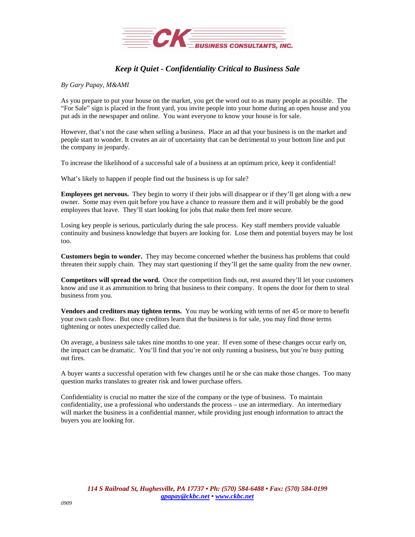

## *Keep it Quiet - Confidentiality Critical to Business Sale*

## *By Gary Papay, M&AMI*

As you prepare to put your house on the market, you get the word out to as many people as possible. The "For Sale" sign is placed in the front yard, you invite people into your home during an open house and you put ads in the newspaper and online. You want everyone to know your house is for sale.

However, that's not the case when selling a business. Place an ad that your business is on the market and people start to wonder. It creates an air of uncertainty that can be detrimental to your bottom line and put the company in jeopardy.

To increase the likelihood of a successful sale of a business at an optimum price, keep it confidential!

What's likely to happen if people find out the business is up for sale?

**Employees get nervous.** They begin to worry if their jobs will disappear or if they'll get along with a new owner. Some may even quit before you have a chance to reassure them and it will probably be the good employees that leave. They'll start looking for jobs that make them feel more secure.

Losing key people is serious, particularly during the sale process. Key staff members provide valuable continuity and business knowledge that buyers are looking for. Lose them and potential buyers may be lost too.

**Customers begin to wonder.** They may become concerned whether the business has problems that could threaten their supply chain. They may start questioning if they'll get the same quality from the new owner.

**Competitors will spread the word.** Once the competition finds out, rest assured they'll let your customers know and use it as ammunition to bring that business to their company. It opens the door for them to steal business from you.

**Vendors and creditors may tighten terms.** You may be working with terms of net 45 or more to benefit your own cash flow. But once creditors learn that the business is for sale, you may find those terms tightening or notes unexpectedly called due.

On average, a business sale takes nine months to one year. If even some of these changes occur early on, the impact can be dramatic. You'll find that you're not only running a business, but you're busy putting out fires.

A buyer wants a successful operation with few changes until he or she can make those changes. Too many question marks translates to greater risk and lower purchase offers.

Confidentiality is crucial no matter the size of the company or the type of business. To maintain confidentiality, use a professional who understands the process – use an intermediary. An intermediary will market the business in a confidential manner, while providing just enough information to attract the buyers you are looking for.